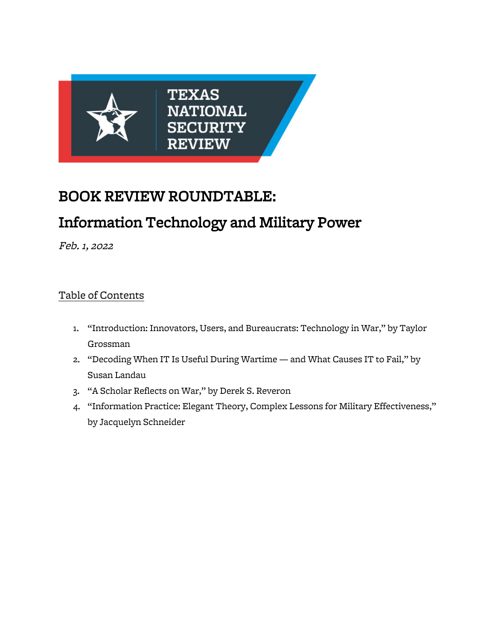

## BOOK REVIEW ROUNDTABLE:

# Information Technology and Military Power

Feb. 1, 2022

### Table of Contents

- 1. "Introduction: Innovators, Users, and Bureaucrats: Technology in War," by Taylor Grossman
- 2. "Decoding When IT Is Useful During Wartime and What Causes IT to Fail," by Susan Landau
- 3. "A Scholar Reflects on War," by Derek S. Reveron
- 4. "Information Practice: Elegant Theory, Complex Lessons for Military Effectiveness," by Jacquelyn Schneider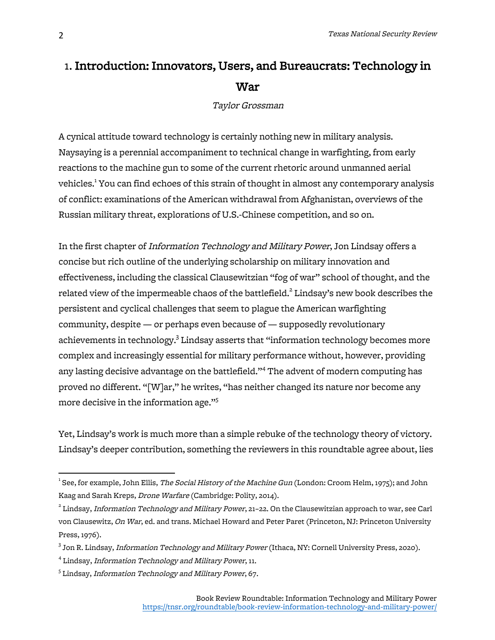### 1. Introduction: Innovators, Users, and Bureaucrats: Technology in War

Taylor Grossman

A cynical attitude toward technology is certainly nothing new in military analysis. Naysaying is a perennial accompaniment to technical change in warfighting, from early reactions to the machine gun to some of the current rhetoric around unmanned aerial vehicles.<sup>1</sup> You can find echoes of this strain of thought in almost any contemporary analysis of conflict: examinations of the American withdrawal from Afghanistan, overviews of the Russian military threat, explorations of U.S.-Chinese competition, and so on.

In the first chapter of Information Technology and Military Power, Jon Lindsay offers a concise but rich outline of the underlying scholarship on military innovation and effectiveness, including the classical Clausewitzian "fog of war" school of thought, and the related view of the impermeable chaos of the battlefield.<sup>2</sup> Lindsay's new book describes the persistent and cyclical challenges that seem to plague the American warfighting community, despite — or perhaps even because of — supposedly revolutionary achievements in technology.<sup>3</sup> Lindsay asserts that "information technology becomes more complex and increasingly essential for military performance without, however, providing any lasting decisive advantage on the battlefield."<sup>4</sup> The advent of modern computing has proved no different. "[W]ar," he writes, "has neither changed its nature nor become any more decisive in the information age."<sup>5</sup>

Yet, Lindsay's work is much more than a simple rebuke of the technology theory of victory. Lindsay's deeper contribution, something the reviewers in this roundtable agree about, lies

<sup>&</sup>lt;u>.</u><br><sup>1</sup> See, for example, John Ellis, *The Social History of the Machine Gun* (London: Croom Helm, 1975); and John Kaag and Sarah Kreps, Drone Warfare (Cambridge: Polity, 2014).

 $^2$  Lindsay, *Information Technology and Military Power*, 21–22. On the Clausewitzian approach to war, see Carl von Clausewitz, On War, ed. and trans. Michael Howard and Peter Paret (Princeton, NJ: Princeton University Press, 1976).

 $^3$  Jon R. Lindsay, *Information Technology and Military Power* (Ithaca, NY: Cornell University Press, 2020).

<sup>4</sup> Lindsay, Information Technology and Military Power, 11.

 $^{\rm 5}$  Lindsay, *Information Technology and Military Power*, 67.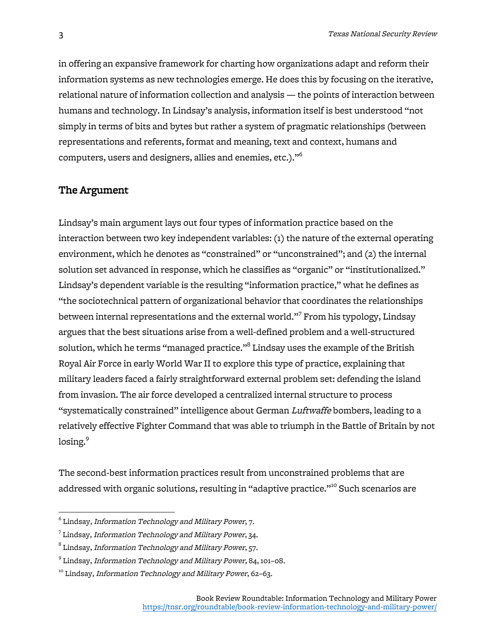in offering an expansive framework for charting how organizations adapt and reform their information systems as new technologies emerge. He does this by focusing on the iterative, relational nature of information collection and analysis — the points of interaction between humans and technology. In Lindsay's analysis, information itself is best understood "not simply in terms of bits and bytes but rather a system of pragmatic relationships (between representations and referents, format and meaning, text and context, humans and computers, users and designers, allies and enemies, etc.)."<sup>6</sup>

#### The Argument

Lindsay's main argument lays out four types of information practice based on the interaction between two key independent variables: (1) the nature of the external operating environment, which he denotes as "constrained" or "unconstrained"; and (2) the internal solution set advanced in response, which he classifies as "organic" or "institutionalized." Lindsay's dependent variable is the resulting "information practice," what he defines as "the sociotechnical pattern of organizational behavior that coordinates the relationships between internal representations and the external world."<sup>7</sup> From his typology, Lindsay argues that the best situations arise from a well-defined problem and a well-structured solution, which he terms "managed practice." $^{\rm 8}$  Lindsay uses the example of the British Royal Air Force in early World War II to explore this type of practice, explaining that military leaders faced a fairly straightforward external problem set: defending the island from invasion. The air force developed a centralized internal structure to process "systematically constrained" intelligence about German Luftwaffe bombers, leading to a relatively effective Fighter Command that was able to triumph in the Battle of Britain by not losing.<sup>9</sup>

The second-best information practices result from unconstrained problems that are addressed with organic solutions, resulting in "adaptive practice."<sup>10</sup> Such scenarios are

 $^6$  Lindsay, Information Technology and Military Power, 7.

 $7$  Lindsay, Information Technology and Military Power, 34.

<sup>&</sup>lt;sup>8</sup> Lindsay, *Information Technology and Military Power*, 57.

<sup>9</sup> Lindsay, Information Technology and Military Power, 84, 101–08.

<sup>&</sup>lt;sup>10</sup> Lindsay, Information Technology and Military Power, 62-63.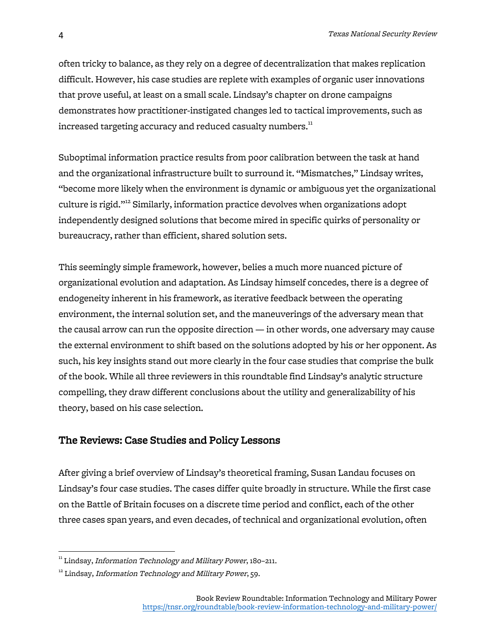often tricky to balance, as they rely on a degree of decentralization that makes replication difficult. However, his case studies are replete with examples of organic user innovations that prove useful, at least on a small scale. Lindsay's chapter on drone campaigns demonstrates how practitioner-instigated changes led to tactical improvements, such as increased targeting accuracy and reduced casualty numbers.<sup>11</sup>

Suboptimal information practice results from poor calibration between the task at hand and the organizational infrastructure built to surround it. "Mismatches," Lindsay writes, "become more likely when the environment is dynamic or ambiguous yet the organizational culture is rigid."<sup>12</sup> Similarly, information practice devolves when organizations adopt independently designed solutions that become mired in specific quirks of personality or bureaucracy, rather than efficient, shared solution sets.

This seemingly simple framework, however, belies a much more nuanced picture of organizational evolution and adaptation. As Lindsay himself concedes, there is a degree of endogeneity inherent in his framework, as iterative feedback between the operating environment, the internal solution set, and the maneuverings of the adversary mean that the causal arrow can run the opposite direction — in other words, one adversary may cause the external environment to shift based on the solutions adopted by his or her opponent. As such, his key insights stand out more clearly in the four case studies that comprise the bulk of the book. While all three reviewers in this roundtable find Lindsay's analytic structure compelling, they draw different conclusions about the utility and generalizability of his theory, based on his case selection.

#### The Reviews: Case Studies and Policy Lessons

After giving a brief overview of Lindsay's theoretical framing, Susan Landau focuses on Lindsay's four case studies. The cases differ quite broadly in structure. While the first case on the Battle of Britain focuses on a discrete time period and conflict, each of the other three cases span years, and even decades, of technical and organizational evolution, often

<sup>&</sup>lt;sup>11</sup> Lindsay, Information Technology and Military Power, 180-211.

 $12$  Lindsay, Information Technology and Military Power, 59.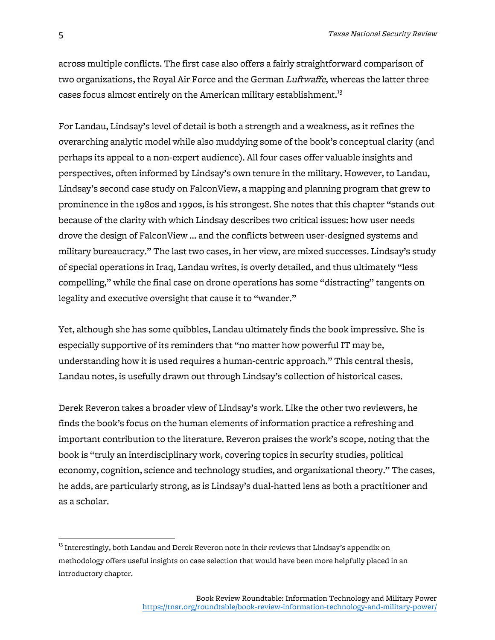across multiple conflicts. The first case also offers a fairly straightforward comparison of two organizations, the Royal Air Force and the German Luftwaffe, whereas the latter three cases focus almost entirely on the American military establishment. $^{13}$ 

For Landau, Lindsay's level of detail is both a strength and a weakness, as it refines the overarching analytic model while also muddying some of the book's conceptual clarity (and perhaps its appeal to a non-expert audience). All four cases offer valuable insights and perspectives, often informed by Lindsay's own tenure in the military. However, to Landau, Lindsay's second case study on FalconView, a mapping and planning program that grew to prominence in the 1980s and 1990s, is his strongest. She notes that this chapter "stands out because of the clarity with which Lindsay describes two critical issues: how user needs drove the design of FalconView … and the conflicts between user-designed systems and military bureaucracy." The last two cases, in her view, are mixed successes. Lindsay's study of special operations in Iraq, Landau writes, is overly detailed, and thus ultimately "less compelling," while the final case on drone operations has some "distracting" tangents on legality and executive oversight that cause it to "wander."

Yet, although she has some quibbles, Landau ultimately finds the book impressive. She is especially supportive of its reminders that "no matter how powerful IT may be, understanding how it is used requires a human-centric approach." This central thesis, Landau notes, is usefully drawn out through Lindsay's collection of historical cases.

Derek Reveron takes a broader view of Lindsay's work. Like the other two reviewers, he finds the book's focus on the human elements of information practice a refreshing and important contribution to the literature. Reveron praises the work's scope, noting that the book is "truly an interdisciplinary work, covering topics in security studies, political economy, cognition, science and technology studies, and organizational theory." The cases, he adds, are particularly strong, as is Lindsay's dual-hatted lens as both a practitioner and as a scholar.

 $^{13}$  Interestingly, both Landau and Derek Reveron note in their reviews that Lindsay's appendix on methodology offers useful insights on case selection that would have been more helpfully placed in an introductory chapter.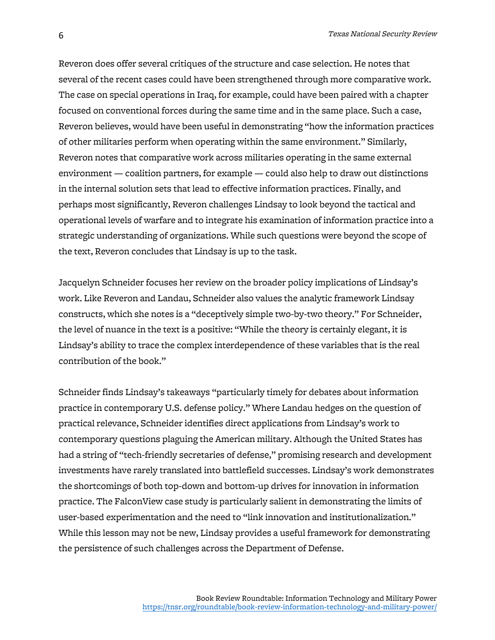Reveron does offer several critiques of the structure and case selection. He notes that several of the recent cases could have been strengthened through more comparative work. The case on special operations in Iraq, for example, could have been paired with a chapter focused on conventional forces during the same time and in the same place. Such a case, Reveron believes, would have been useful in demonstrating "how the information practices of other militaries perform when operating within the same environment." Similarly, Reveron notes that comparative work across militaries operating in the same external environment — coalition partners, for example — could also help to draw out distinctions in the internal solution sets that lead to effective information practices. Finally, and perhaps most significantly, Reveron challenges Lindsay to look beyond the tactical and operational levels of warfare and to integrate his examination of information practice into a strategic understanding of organizations. While such questions were beyond the scope of the text, Reveron concludes that Lindsay is up to the task.

Jacquelyn Schneider focuses her review on the broader policy implications of Lindsay's work. Like Reveron and Landau, Schneider also values the analytic framework Lindsay constructs, which she notes is a "deceptively simple two-by-two theory." For Schneider, the level of nuance in the text is a positive: "While the theory is certainly elegant, it is Lindsay's ability to trace the complex interdependence of these variables that is the real contribution of the book."

Schneider finds Lindsay's takeaways "particularly timely for debates about information practice in contemporary U.S. defense policy." Where Landau hedges on the question of practical relevance, Schneider identifies direct applications from Lindsay's work to contemporary questions plaguing the American military. Although the United States has had a string of "tech-friendly secretaries of defense," promising research and development investments have rarely translated into battlefield successes. Lindsay's work demonstrates the shortcomings of both top-down and bottom-up drives for innovation in information practice. The FalconView case study is particularly salient in demonstrating the limits of user-based experimentation and the need to "link innovation and institutionalization." While this lesson may not be new, Lindsay provides a useful framework for demonstrating the persistence of such challenges across the Department of Defense.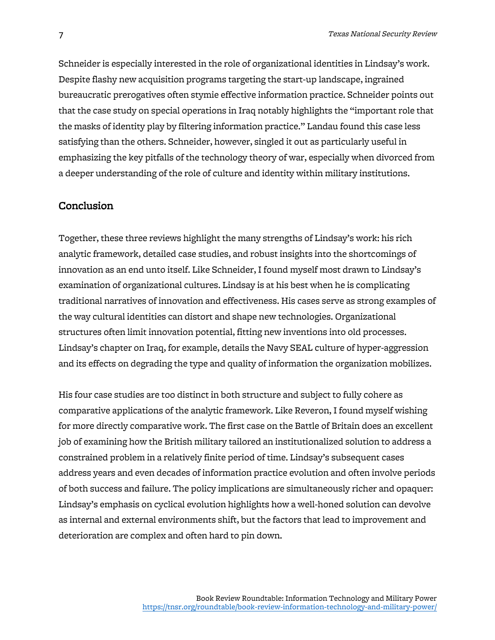Schneider is especially interested in the role of organizational identities in Lindsay's work. Despite flashy new acquisition programs targeting the start-up landscape, ingrained bureaucratic prerogatives often stymie effective information practice. Schneider points out that the case study on special operations in Iraq notably highlights the "important role that the masks of identity play by filtering information practice." Landau found this case less satisfying than the others. Schneider, however, singled it out as particularly useful in emphasizing the key pitfalls of the technology theory of war, especially when divorced from a deeper understanding of the role of culture and identity within military institutions.

#### Conclusion

Together, these three reviews highlight the many strengths of Lindsay's work: his rich analytic framework, detailed case studies, and robust insights into the shortcomings of innovation as an end unto itself. Like Schneider, I found myself most drawn to Lindsay's examination of organizational cultures. Lindsay is at his best when he is complicating traditional narratives of innovation and effectiveness. His cases serve as strong examples of the way cultural identities can distort and shape new technologies. Organizational structures often limit innovation potential, fitting new inventions into old processes. Lindsay's chapter on Iraq, for example, details the Navy SEAL culture of hyper-aggression and its effects on degrading the type and quality of information the organization mobilizes.

His four case studies are too distinct in both structure and subject to fully cohere as comparative applications of the analytic framework. Like Reveron, I found myself wishing for more directly comparative work. The first case on the Battle of Britain does an excellent job of examining how the British military tailored an institutionalized solution to address a constrained problem in a relatively finite period of time. Lindsay's subsequent cases address years and even decades of information practice evolution and often involve periods of both success and failure. The policy implications are simultaneously richer and opaquer: Lindsay's emphasis on cyclical evolution highlights how a well-honed solution can devolve as internal and external environments shift, but the factors that lead to improvement and deterioration are complex and often hard to pin down.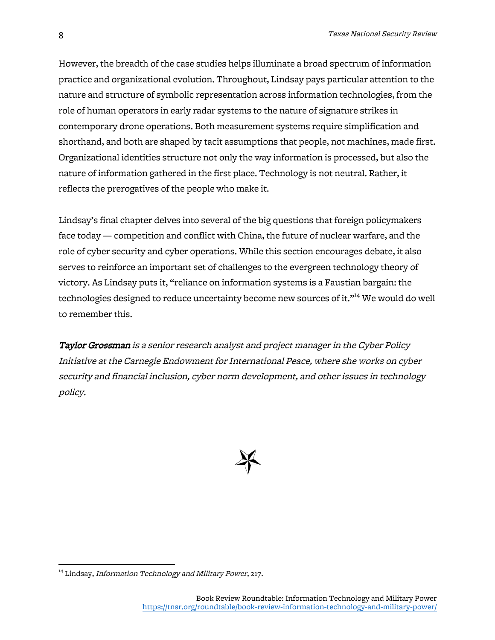However, the breadth of the case studies helps illuminate a broad spectrum of information practice and organizational evolution. Throughout, Lindsay pays particular attention to the nature and structure of symbolic representation across information technologies, from the role of human operators in early radar systems to the nature of signature strikes in contemporary drone operations. Both measurement systems require simplification and shorthand, and both are shaped by tacit assumptions that people, not machines, made first. Organizational identities structure not only the way information is processed, but also the nature of information gathered in the first place. Technology is not neutral. Rather, it reflects the prerogatives of the people who make it.

Lindsay's final chapter delves into several of the big questions that foreign policymakers face today — competition and conflict with China, the future of nuclear warfare, and the role of cyber security and cyber operations. While this section encourages debate, it also serves to reinforce an important set of challenges to the evergreen technology theory of victory. As Lindsay puts it, "reliance on information systems is a Faustian bargain: the technologies designed to reduce uncertainty become new sources of it." <sup>14</sup> We would do well to remember this.

Taylor Grossman is a senior research analyst and project manager in the Cyber Policy Initiative at the Carnegie Endowment for International Peace, where she works on cyber security and financial inclusion, cyber norm development, and other issues in technology policy.



<sup>&</sup>lt;sup>14</sup> Lindsay, Information Technology and Military Power, 217.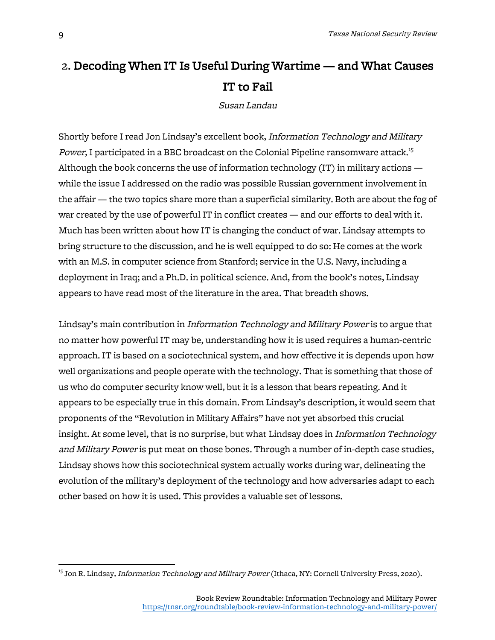## 2. Decoding When IT Is Useful During Wartime — and What Causes IT to Fail

Susan Landau

Shortly before I read Jon Lindsay's excellent book, Information Technology and Military Power, I participated in a BBC broadcast on the Colonial Pipeline ransomware attack.<sup>15</sup> Although the book concerns the use of information technology (IT) in military actions while the issue I addressed on the radio was possible Russian government involvement in the affair — the two topics share more than a superficial similarity. Both are about the fog of war created by the use of powerful IT in conflict creates — and our efforts to deal with it. Much has been written about how IT is changing the conduct of war. Lindsay attempts to bring structure to the discussion, and he is well equipped to do so: He comes at the work with an M.S. in computer science from Stanford; service in the U.S. Navy, including a deployment in Iraq; and a Ph.D. in political science. And, from the book's notes, Lindsay appears to have read most of the literature in the area. That breadth shows.

Lindsay's main contribution in Information Technology and Military Power is to argue that no matter how powerful IT may be, understanding how it is used requires a human-centric approach. IT is based on a sociotechnical system, and how effective it is depends upon how well organizations and people operate with the technology. That is something that those of us who do computer security know well, but it is a lesson that bears repeating. And it appears to be especially true in this domain. From Lindsay's description, it would seem that proponents of the "Revolution in Military Affairs" have not yet absorbed this crucial insight. At some level, that is no surprise, but what Lindsay does in Information Technology and Military Power is put meat on those bones. Through a number of in-depth case studies, Lindsay shows how this sociotechnical system actually works during war, delineating the evolution of the military's deployment of the technology and how adversaries adapt to each other based on how it is used. This provides a valuable set of lessons.

<sup>&</sup>lt;sup>15</sup> Jon R. Lindsay, *Information Technology and Military Power* (Ithaca, NY: Cornell University Press, 2020).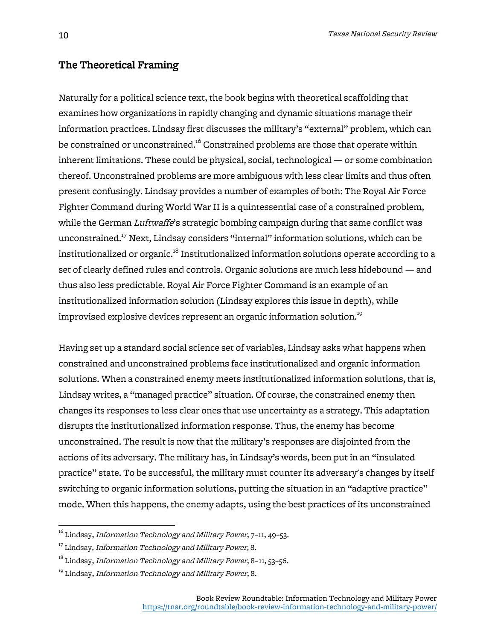#### The Theoretical Framing

Naturally for a political science text, the book begins with theoretical scaffolding that examines how organizations in rapidly changing and dynamic situations manage their information practices. Lindsay first discusses the military's "external" problem, which can be constrained or unconstrained.<sup>16</sup> Constrained problems are those that operate within inherent limitations. These could be physical, social, technological — or some combination thereof. Unconstrained problems are more ambiguous with less clear limits and thus often present confusingly. Lindsay provides a number of examples of both: The Royal Air Force Fighter Command during World War II is a quintessential case of a constrained problem, while the German Luftwaffe's strategic bombing campaign during that same conflict was unconstrained.17 Next, Lindsay considers "internal" information solutions, which can be institutionalized or organic.<sup>18</sup> Institutionalized information solutions operate according to a set of clearly defined rules and controls. Organic solutions are much less hidebound — and thus also less predictable. Royal Air Force Fighter Command is an example of an institutionalized information solution (Lindsay explores this issue in depth), while improvised explosive devices represent an organic information solution.<sup>19</sup>

Having set up a standard social science set of variables, Lindsay asks what happens when constrained and unconstrained problems face institutionalized and organic information solutions. When a constrained enemy meets institutionalized information solutions, that is, Lindsay writes, a "managed practice" situation. Of course, the constrained enemy then changes its responses to less clear ones that use uncertainty as a strategy. This adaptation disrupts the institutionalized information response. Thus, the enemy has become unconstrained. The result is now that the military's responses are disjointed from the actions of its adversary. The military has, in Lindsay's words, been put in an "insulated practice" state. To be successful, the military must counter its adversary's changes by itself switching to organic information solutions, putting the situation in an "adaptive practice" mode. When this happens, the enemy adapts, using the best practices of its unconstrained

 $16$  Lindsay, *Information Technology and Military Power*,  $7-11$ ,  $49-53$ .

 $17$  Lindsay, Information Technology and Military Power, 8.

 $18$  Lindsay, Information Technology and Military Power, 8-11, 53-56.

<sup>&</sup>lt;sup>19</sup> Lindsay, Information Technology and Military Power, 8.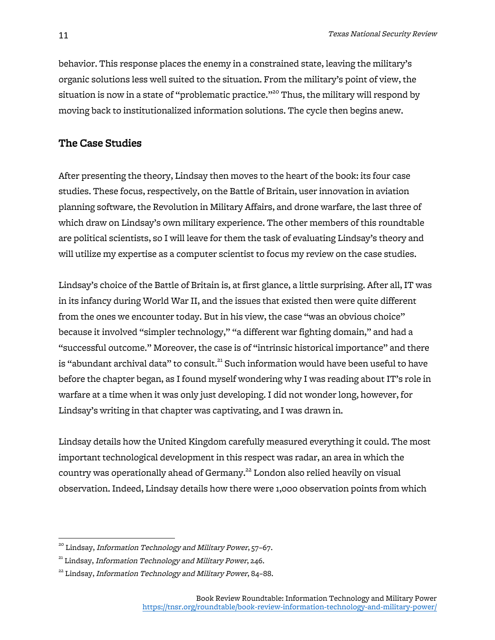behavior. This response places the enemy in a constrained state, leaving the military's organic solutions less well suited to the situation. From the military's point of view, the situation is now in a state of "problematic practice."<sup>20</sup> Thus, the military will respond by moving back to institutionalized information solutions. The cycle then begins anew.

#### The Case Studies

After presenting the theory, Lindsay then moves to the heart of the book: its four case studies. These focus, respectively, on the Battle of Britain, user innovation in aviation planning software, the Revolution in Military Affairs, and drone warfare, the last three of which draw on Lindsay's own military experience. The other members of this roundtable are political scientists, so I will leave for them the task of evaluating Lindsay's theory and will utilize my expertise as a computer scientist to focus my review on the case studies.

Lindsay's choice of the Battle of Britain is, at first glance, a little surprising. After all, IT was in its infancy during World War II, and the issues that existed then were quite different from the ones we encounter today. But in his view, the case "was an obvious choice" because it involved "simpler technology," "a different war fighting domain," and had a "successful outcome." Moreover, the case is of "intrinsic historical importance" and there is "abundant archival data" to consult.<sup>21</sup> Such information would have been useful to have before the chapter began, as I found myself wondering why I was reading about IT's role in warfare at a time when it was only just developing. I did not wonder long, however, for Lindsay's writing in that chapter was captivating, and I was drawn in.

Lindsay details how the United Kingdom carefully measured everything it could. The most important technological development in this respect was radar, an area in which the country was operationally ahead of Germany. <sup>22</sup> London also relied heavily on visual observation. Indeed, Lindsay details how there were 1,000 observation points from which

<sup>&</sup>lt;sup>20</sup> Lindsay, *Information Technology and Military Power*, 57-67.

 $21$  Lindsay, Information Technology and Military Power, 246.

<sup>&</sup>lt;sup>22</sup> Lindsay, Information Technology and Military Power, 84-88.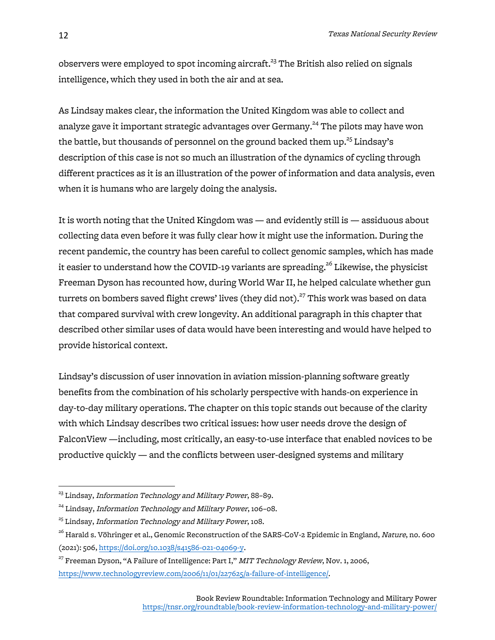observers were employed to spot incoming aircraft.<sup>23</sup> The British also relied on signals intelligence, which they used in both the air and at sea.

As Lindsay makes clear, the information the United Kingdom was able to collect and analyze gave it important strategic advantages over Germany.<sup>24</sup> The pilots may have won the battle, but thousands of personnel on the ground backed them up. $^{\mathrm{25}}$  Lindsay's description of this case is not so much an illustration of the dynamics of cycling through different practices as it is an illustration of the power of information and data analysis, even when it is humans who are largely doing the analysis.

It is worth noting that the United Kingdom was — and evidently still is — assiduous about collecting data even before it was fully clear how it might use the information. During the recent pandemic, the country has been careful to collect genomic samples, which has made it easier to understand how the COVID-19 variants are spreading.<sup>26</sup> Likewise, the physicist Freeman Dyson has recounted how, during World War II, he helped calculate whether gun turrets on bombers saved flight crews' lives (they did not). $^{27}$  This work was based on data that compared survival with crew longevity. An additional paragraph in this chapter that described other similar uses of data would have been interesting and would have helped to provide historical context.

Lindsay's discussion of user innovation in aviation mission-planning software greatly benefits from the combination of his scholarly perspective with hands-on experience in day-to-day military operations. The chapter on this topic stands out because of the clarity with which Lindsay describes two critical issues: how user needs drove the design of FalconView —including, most critically, an easy-to-use interface that enabled novices to be productive quickly — and the conflicts between user-designed systems and military

<sup>&</sup>lt;sup>23</sup> Lindsay, *Information Technology and Military Power*, 88-89.

<sup>&</sup>lt;sup>24</sup> Lindsay, *Information Technology and Military Power*, 106-08.

 $^{25}$  Lindsay, Information Technology and Military Power, 108.

 $^{26}$  Harald s. Vöhringer et al., Genomic Reconstruction of the SARS-CoV-2 Epidemic in England, *Nature*, no. 600 (2021): 506, https://doi.org/10.1038/s41586-021-04069-y.

 $27$  Freeman Dyson, "A Failure of Intelligence: Part I," MIT Technology Review, Nov. 1, 2006, https://www.technologyreview.com/2006/11/01/227625/a-failure-of-intelligence/.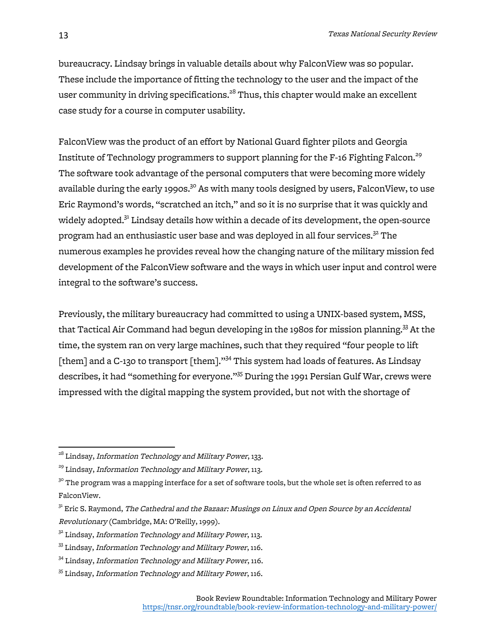bureaucracy. Lindsay brings in valuable details about why FalconView was so popular. These include the importance of fitting the technology to the user and the impact of the user community in driving specifications.<sup>28</sup> Thus, this chapter would make an excellent case study for a course in computer usability.

FalconView was the product of an effort by National Guard fighter pilots and Georgia Institute of Technology programmers to support planning for the F-16 Fighting Falcon.<sup>29</sup> The software took advantage of the personal computers that were becoming more widely available during the early 1990s.<sup>30</sup> As with many tools designed by users, FalconView, to use Eric Raymond's words, "scratched an itch," and so it is no surprise that it was quickly and widely adopted.<sup>31</sup> Lindsay details how within a decade of its development, the open-source program had an enthusiastic user base and was deployed in all four services.<sup>32</sup> The numerous examples he provides reveal how the changing nature of the military mission fed development of the FalconView software and the ways in which user input and control were integral to the software's success.

Previously, the military bureaucracy had committed to using a UNIX-based system, MSS, that Tactical Air Command had begun developing in the 1980s for mission planning.<sup>33</sup> At the time, the system ran on very large machines, such that they required "four people to lift [them] and a C-130 to transport [them]."<sup>34</sup> This system had loads of features. As Lindsay describes, it had "something for everyone."<sup>35</sup> During the 1991 Persian Gulf War, crews were impressed with the digital mapping the system provided, but not with the shortage of

<sup>&</sup>lt;sup>28</sup> Lindsay, *Information Technology and Military Power*, 133.

<sup>&</sup>lt;sup>29</sup> Lindsay, *Information Technology and Military Power*, 113.

 $3^\circ$  The program was a mapping interface for a set of software tools, but the whole set is often referred to as FalconView.

 $31$  Eric S. Raymond, *The Cathedral and the Bazaar: Musings on Linux and Open Source by an Accidental* Revolutionary (Cambridge, MA: O'Reilly, 1999).

 $32$  Lindsay, Information Technology and Military Power, 113.

 $33$  Lindsay, Information Technology and Military Power, 116.

<sup>&</sup>lt;sup>34</sup> Lindsay, *Information Technology and Military Power*, 116.

<sup>&</sup>lt;sup>35</sup> Lindsay, Information Technology and Military Power, 116.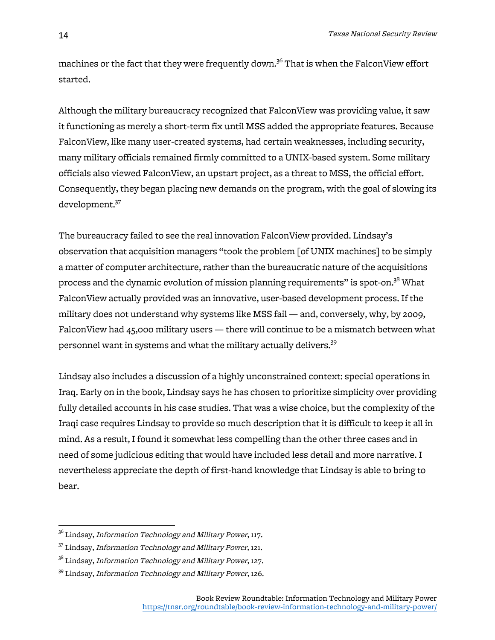machines or the fact that they were frequently down.<sup>36</sup> That is when the FalconView effort started.

Although the military bureaucracy recognized that FalconView was providing value, it saw it functioning as merely a short-term fix until MSS added the appropriate features. Because FalconView, like many user-created systems, had certain weaknesses, including security, many military officials remained firmly committed to a UNIX-based system. Some military officials also viewed FalconView, an upstart project, as a threat to MSS, the official effort. Consequently, they began placing new demands on the program, with the goal of slowing its development.37

The bureaucracy failed to see the real innovation FalconView provided. Lindsay's observation that acquisition managers "took the problem [of UNIX machines] to be simply a matter of computer architecture, rather than the bureaucratic nature of the acquisitions process and the dynamic evolution of mission planning requirements" is spot-on. $^{38}$  What FalconView actually provided was an innovative, user-based development process. If the military does not understand why systems like MSS fail — and, conversely, why, by 2009, FalconView had 45,000 military users — there will continue to be a mismatch between what personnel want in systems and what the military actually delivers.<sup>39</sup>

Lindsay also includes a discussion of a highly unconstrained context: special operations in Iraq. Early on in the book, Lindsay says he has chosen to prioritize simplicity over providing fully detailed accounts in his case studies. That was a wise choice, but the complexity of the Iraqi case requires Lindsay to provide so much description that it is difficult to keep it all in mind. As a result, I found it somewhat less compelling than the other three cases and in need of some judicious editing that would have included less detail and more narrative. I nevertheless appreciate the depth of first-hand knowledge that Lindsay is able to bring to bear.

<sup>&</sup>lt;sup>36</sup> Lindsay, *Information Technology and Military Power*, 117.

<sup>&</sup>lt;sup>37</sup> Lindsay, *Information Technology and Military Power*, 121.

<sup>&</sup>lt;sup>38</sup> Lindsay, *Information Technology and Military Power*, 127.

<sup>&</sup>lt;sup>39</sup> Lindsay, *Information Technology and Military Power*, 126.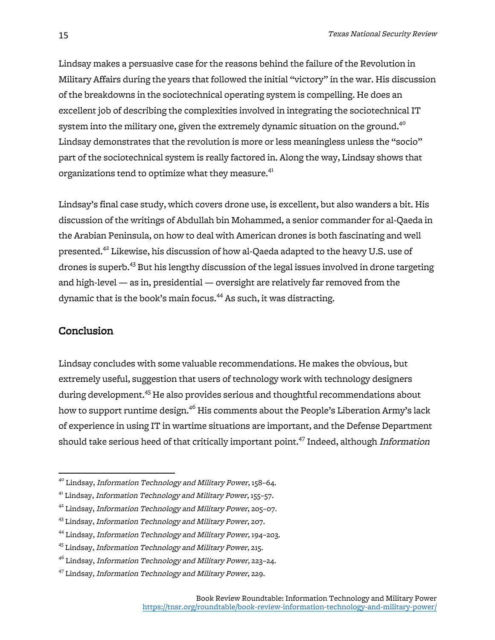Lindsay makes a persuasive case for the reasons behind the failure of the Revolution in Military Affairs during the years that followed the initial "victory" in the war. His discussion of the breakdowns in the sociotechnical operating system is compelling. He does an excellent job of describing the complexities involved in integrating the sociotechnical IT system into the military one, given the extremely dynamic situation on the ground.<sup>40</sup> Lindsay demonstrates that the revolution is more or less meaningless unless the "socio" part of the sociotechnical system is really factored in. Along the way, Lindsay shows that organizations tend to optimize what they measure.<sup>41</sup>

Lindsay's final case study, which covers drone use, is excellent, but also wanders a bit. His discussion of the writings of Abdullah bin Mohammed, a senior commander for al-Qaeda in the Arabian Peninsula, on how to deal with American drones is both fascinating and well presented.<sup>42</sup> Likewise, his discussion of how al-Qaeda adapted to the heavy U.S. use of drones is superb.43 But his lengthy discussion of the legal issues involved in drone targeting and high-level — as in, presidential — oversight are relatively far removed from the dynamic that is the book's main focus. <sup>44</sup> As such, it was distracting.

#### Conclusion

Lindsay concludes with some valuable recommendations. He makes the obvious, but extremely useful, suggestion that users of technology work with technology designers during development. <sup>45</sup> He also provides serious and thoughtful recommendations about how to support runtime design.<sup>46</sup> His comments about the People's Liberation Army's lack of experience in using IT in wartime situations are important, and the Defense Department should take serious heed of that critically important point.<sup>47</sup> Indeed, although *Information* 

<sup>&</sup>lt;sup>40</sup> Lindsay, Information Technology and Military Power, 158-64.

<sup>&</sup>lt;sup>41</sup> Lindsay, Information Technology and Military Power, 155-57.

 $42$  Lindsay, Information Technology and Military Power, 205-07.

<sup>&</sup>lt;sup>43</sup> Lindsay, *Information Technology and Military Power*, 207.

<sup>44</sup> Lindsay, Information Technology and Military Power, 194–203.

<sup>45</sup> Lindsay, Information Technology and Military Power, 215.

 $46$  Lindsay, Information Technology and Military Power, 223-24.

<sup>47</sup> Lindsay, Information Technology and Military Power, 229.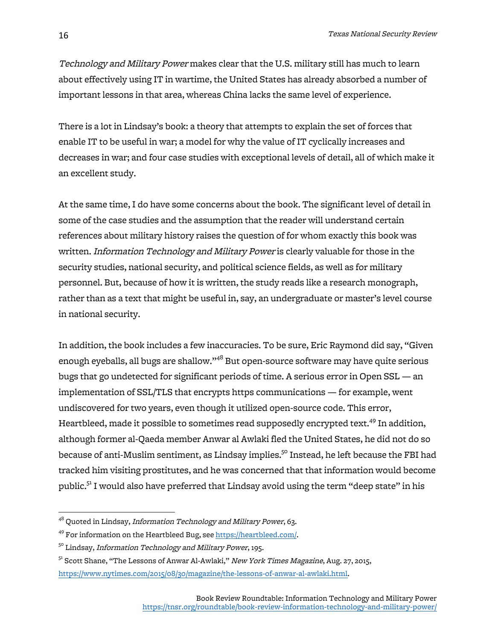Technology and Military Power makes clear that the U.S. military still has much to learn about effectively using IT in wartime, the United States has already absorbed a number of important lessons in that area, whereas China lacks the same level of experience.

There is a lot in Lindsay's book: a theory that attempts to explain the set of forces that enable IT to be useful in war; a model for why the value of IT cyclically increases and decreases in war; and four case studies with exceptional levels of detail, all of which make it an excellent study.

At the same time, I do have some concerns about the book. The significant level of detail in some of the case studies and the assumption that the reader will understand certain references about military history raises the question of for whom exactly this book was written. Information Technology and Military Power is clearly valuable for those in the security studies, national security, and political science fields, as well as for military personnel. But, because of how it is written, the study reads like a research monograph, rather than as a text that might be useful in, say, an undergraduate or master's level course in national security.

In addition, the book includes a few inaccuracies. To be sure, Eric Raymond did say, "Given enough eyeballs, all bugs are shallow."<sup>48</sup> But open-source software may have quite serious bugs that go undetected for significant periods of time. A serious error in Open SSL — an implementation of SSL/TLS that encrypts https communications — for example, went undiscovered for two years, even though it utilized open-source code. This error, Heartbleed, made it possible to sometimes read supposedly encrypted text.<sup>49</sup> In addition, although former al-Qaeda member Anwar al Awlaki fled the United States, he did not do so because of anti-Muslim sentiment, as Lindsay implies.<sup>50</sup> Instead, he left because the FBI had tracked him visiting prostitutes, and he was concerned that that information would become public. $5<sup>1</sup>$  I would also have preferred that Lindsay avoid using the term "deep state" in his

<sup>&</sup>lt;sup>48</sup> Quoted in Lindsay, Information Technology and Military Power, 63.

<sup>49</sup> For information on the Heartbleed Bug, see https://heartbleed.com/.

<sup>&</sup>lt;sup>50</sup> Lindsay, *Information Technology and Military Power*, 195.

<sup>&</sup>lt;sup>51</sup> Scott Shane, "The Lessons of Anwar Al-Awlaki," New York Times Magazine, Aug. 27, 2015, https://www.nytimes.com/2015/08/30/magazine/the-lessons-of-anwar-al-awlaki.html.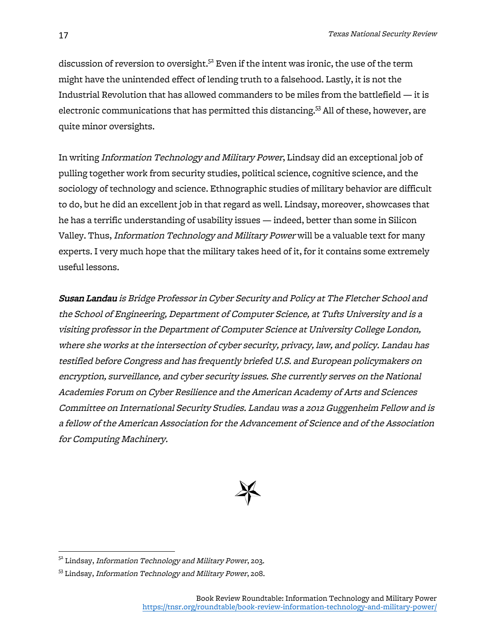discussion of reversion to oversight. $^{52}$  Even if the intent was ironic, the use of the term might have the unintended effect of lending truth to a falsehood. Lastly, it is not the Industrial Revolution that has allowed commanders to be miles from the battlefield — it is electronic communications that has permitted this distancing.<sup>53</sup> All of these, however, are quite minor oversights.

In writing Information Technology and Military Power, Lindsay did an exceptional job of pulling together work from security studies, political science, cognitive science, and the sociology of technology and science. Ethnographic studies of military behavior are difficult to do, but he did an excellent job in that regard as well. Lindsay, moreover, showcases that he has a terrific understanding of usability issues — indeed, better than some in Silicon Valley. Thus, Information Technology and Military Power will be a valuable text for many experts. I very much hope that the military takes heed of it, for it contains some extremely useful lessons.

Susan Landau is Bridge Professor in Cyber Security and Policy at The Fletcher School and the School of Engineering, Department of Computer Science, at Tufts University and is <sup>a</sup> visiting professor in the Department of Computer Science at University College London, where she works at the intersection of cyber security, privacy, law, and policy. Landau has testified before Congress and has frequently briefed U.S. and European policymakers on encryption, surveillance, and cyber security issues. She currently serves on the National Academies Forum on Cyber Resilience and the American Academy of Arts and Sciences Committee on International Security Studies. Landau was a 2012 Guggenheim Fellow and is a fellow of the American Association for the Advancement of Science and of the Association for Computing Machinery.



<sup>&</sup>lt;sup>52</sup> Lindsay, Information Technology and Military Power, 203.

<sup>53</sup> Lindsay, Information Technology and Military Power, 208.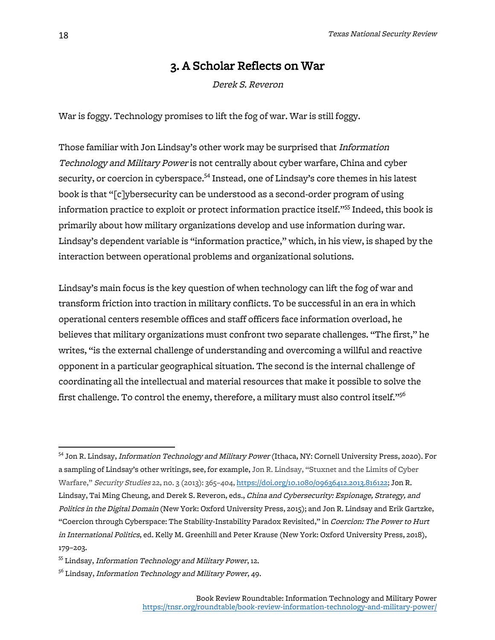### 3. A Scholar Reflects on War

Derek S. Reveron

War is foggy. Technology promises to lift the fog of war. War is still foggy.

Those familiar with Jon Lindsay's other work may be surprised that *Information* Technology and Military Power is not centrally about cyber warfare, China and cyber security, or coercion in cyberspace.<sup>54</sup> Instead, one of Lindsay's core themes in his latest book is that "[c]ybersecurity can be understood as a second-order program of using information practice to exploit or protect information practice itself."<sup>55</sup> Indeed, this book is primarily about how military organizations develop and use information during war. Lindsay's dependent variable is "information practice," which, in his view, is shaped by the interaction between operational problems and organizational solutions.

Lindsay's main focus is the key question of when technology can lift the fog of war and transform friction into traction in military conflicts. To be successful in an era in which operational centers resemble offices and staff officers face information overload, he believes that military organizations must confront two separate challenges. "The first," he writes, "is the external challenge of understanding and overcoming a willful and reactive opponent in a particular geographical situation. The second is the internal challenge of coordinating all the intellectual and material resources that make it possible to solve the first challenge. To control the enemy, therefore, a military must also control itself." $^{56}$ 

<sup>&</sup>lt;sup>54</sup> Jon R. Lindsay, *Information Technology and Military Power* (Ithaca, NY: Cornell University Press, 2020). For a sampling of Lindsay's other writings, see, for example, Jon R. Lindsay, "Stuxnet and the Limits of Cyber Warfare," Security Studies 22, no. 3 (2013): 365–404, https://doi.org/10.1080/09636412.2013.816122; Jon R. Lindsay, Tai Ming Cheung, and Derek S. Reveron, eds., China and Cybersecurity: Espionage, Strategy, and Politics in the Digital Domain (New York: Oxford University Press, 2015); and Jon R. Lindsay and Erik Gartzke, "Coercion through Cyberspace: The Stability-Instability Paradox Revisited," in Coercion: The Power to Hurt in International Politics, ed. Kelly M. Greenhill and Peter Krause (New York: Oxford University Press, 2018), 179–203.

<sup>&</sup>lt;sup>55</sup> Lindsay, Information Technology and Military Power, 12.

<sup>&</sup>lt;sup>56</sup> Lindsay, Information Technology and Military Power, 49.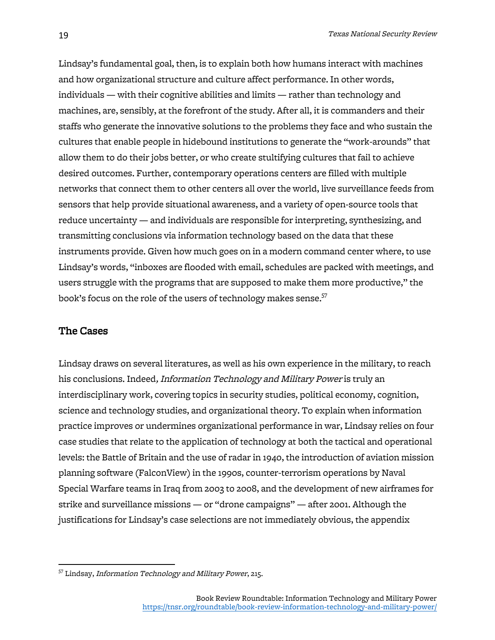Lindsay's fundamental goal, then, is to explain both how humans interact with machines and how organizational structure and culture affect performance. In other words, individuals — with their cognitive abilities and limits — rather than technology and machines, are, sensibly, at the forefront of the study. After all, it is commanders and their staffs who generate the innovative solutions to the problems they face and who sustain the cultures that enable people in hidebound institutions to generate the "work-arounds" that allow them to do their jobs better, or who create stultifying cultures that fail to achieve desired outcomes. Further, contemporary operations centers are filled with multiple networks that connect them to other centers all over the world, live surveillance feeds from sensors that help provide situational awareness, and a variety of open-source tools that reduce uncertainty — and individuals are responsible for interpreting, synthesizing, and transmitting conclusions via information technology based on the data that these instruments provide. Given how much goes on in a modern command center where, to use Lindsay's words, "inboxes are flooded with email, schedules are packed with meetings, and users struggle with the programs that are supposed to make them more productive," the book's focus on the role of the users of technology makes sense.<sup>57</sup>

#### The Cases

Lindsay draws on several literatures, as well as his own experience in the military, to reach his conclusions. Indeed, Information Technology and Military Power is truly an interdisciplinary work, covering topics in security studies, political economy, cognition, science and technology studies, and organizational theory. To explain when information practice improves or undermines organizational performance in war, Lindsay relies on four case studies that relate to the application of technology at both the tactical and operational levels: the Battle of Britain and the use of radar in 1940, the introduction of aviation mission planning software (FalconView) in the 1990s, counter-terrorism operations by Naval Special Warfare teams in Iraq from 2003 to 2008, and the development of new airframes for strike and surveillance missions — or "drone campaigns" — after 2001. Although the justifications for Lindsay's case selections are not immediately obvious, the appendix

 <sup>57</sup> Lindsay, Information Technology and Military Power, 215.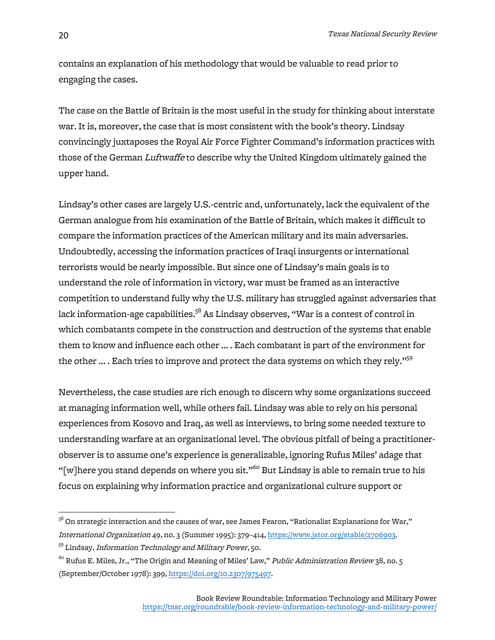contains an explanation of his methodology that would be valuable to read prior to engaging the cases.

The case on the Battle of Britain is the most useful in the study for thinking about interstate war. It is, moreover, the case that is most consistent with the book's theory. Lindsay convincingly juxtaposes the Royal Air Force Fighter Command's information practices with those of the German Luftwaffe to describe why the United Kingdom ultimately gained the upper hand.

Lindsay's other cases are largely U.S.-centric and, unfortunately, lack the equivalent of the German analogue from his examination of the Battle of Britain, which makes it difficult to compare the information practices of the American military and its main adversaries. Undoubtedly, accessing the information practices of Iraqi insurgents or international terrorists would be nearly impossible. But since one of Lindsay's main goals is to understand the role of information in victory, war must be framed as an interactive competition to understand fully why the U.S. military has struggled against adversaries that lack information-age capabilities. $\mathrm{^{58}}$  As Lindsay observes, "War is a contest of control in which combatants compete in the construction and destruction of the systems that enable them to know and influence each other … . Each combatant is part of the environment for the other ... . Each tries to improve and protect the data systems on which they rely."<sup>59</sup>

Nevertheless, the case studies are rich enough to discern why some organizations succeed at managing information well, while others fail. Lindsay was able to rely on his personal experiences from Kosovo and Iraq, as well as interviews, to bring some needed texture to understanding warfare at an organizational level. The obvious pitfall of being a practitionerobserver is to assume one's experience is generalizable, ignoring Rufus Miles' adage that "[w]here you stand depends on where you sit."<sup>60</sup> But Lindsay is able to remain true to his focus on explaining why information practice and organizational culture support or

 $5^8$  On strategic interaction and the causes of war, see James Fearon, "Rationalist Explanations for War," International Organization 49, no. 3 (Summer 1995): 379–414, https://www.jstor.org/stable/2706903.

<sup>59</sup> Lindsay, Information Technology and Military Power, 50.

 $^{60}$  Rufus E. Miles, Jr., "The Origin and Meaning of Miles' Law," *Public Administration Review* 38, no. 5 (September/October 1978): 399, https://doi.org/10.2307/975497.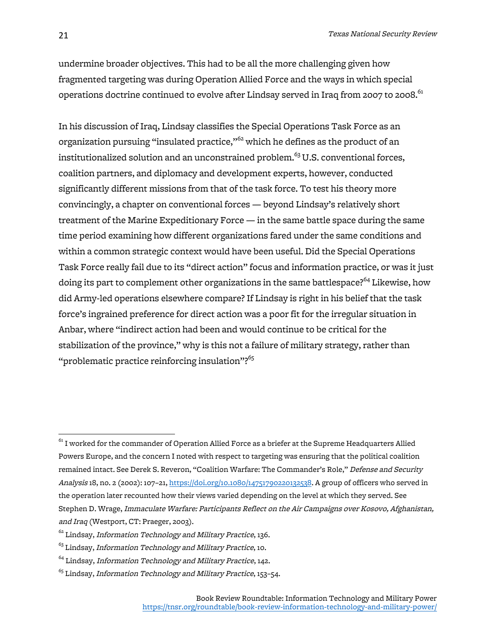undermine broader objectives. This had to be all the more challenging given how fragmented targeting was during Operation Allied Force and the ways in which special operations doctrine continued to evolve after Lindsay served in Iraq from 2007 to 2008. $^{61}$ 

In his discussion of Iraq, Lindsay classifies the Special Operations Task Force as an organization pursuing "insulated practice,"<sup>62</sup> which he defines as the product of an institutionalized solution and an unconstrained problem. $^{63}$  U.S. conventional forces, coalition partners, and diplomacy and development experts, however, conducted significantly different missions from that of the task force. To test his theory more convincingly, a chapter on conventional forces — beyond Lindsay's relatively short treatment of the Marine Expeditionary Force — in the same battle space during the same time period examining how different organizations fared under the same conditions and within a common strategic context would have been useful. Did the Special Operations Task Force really fail due to its "direct action" focus and information practice, or was it just doing its part to complement other organizations in the same battlespace?<sup>64</sup> Likewise, how did Army-led operations elsewhere compare? If Lindsay is right in his belief that the task force's ingrained preference for direct action was a poor fit for the irregular situation in Anbar, where "indirect action had been and would continue to be critical for the stabilization of the province," why is this not a failure of military strategy, rather than "problematic practice reinforcing insulation"? $65$ 

 $61$  I worked for the commander of Operation Allied Force as a briefer at the Supreme Headquarters Allied Powers Europe, and the concern I noted with respect to targeting was ensuring that the political coalition remained intact. See Derek S. Reveron, "Coalition Warfare: The Commander's Role," Defense and Security Analysis 18, no. 2 (2002): 107–21, https://doi.org/10.1080/14751790220132538. A group of officers who served in the operation later recounted how their views varied depending on the level at which they served. See Stephen D. Wrage, Immaculate Warfare: Participants Reflect on the Air Campaigns over Kosovo, Afghanistan, and Iraq (Westport, CT: Praeger, 2003).

 $62$  Lindsay, Information Technology and Military Practice, 136.

 $^{63}$  Lindsay, Information Technology and Military Practice, 10.

 $64$  Lindsay, Information Technology and Military Practice, 142.

 $65$  Lindsay, Information Technology and Military Practice, 153-54.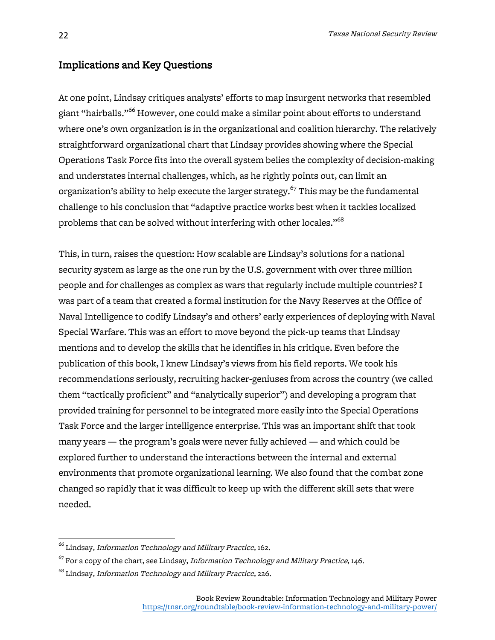#### Implications and Key Questions

At one point, Lindsay critiques analysts' efforts to map insurgent networks that resembled giant "hairballs."66 However, one could make a similar point about efforts to understand where one's own organization is in the organizational and coalition hierarchy. The relatively straightforward organizational chart that Lindsay provides showing where the Special Operations Task Force fits into the overall system belies the complexity of decision-making and understates internal challenges, which, as he rightly points out, can limit an organization's ability to help execute the larger strategy. $^{67}$  This may be the fundamental challenge to his conclusion that "adaptive practice works best when it tackles localized problems that can be solved without interfering with other locales." $^{68}$ 

This, in turn, raises the question: How scalable are Lindsay's solutions for a national security system as large as the one run by the U.S. government with over three million people and for challenges as complex as wars that regularly include multiple countries? I was part of a team that created a formal institution for the Navy Reserves at the Office of Naval Intelligence to codify Lindsay's and others' early experiences of deploying with Naval Special Warfare. This was an effort to move beyond the pick-up teams that Lindsay mentions and to develop the skills that he identifies in his critique. Even before the publication of this book, I knew Lindsay's views from his field reports. We took his recommendations seriously, recruiting hacker-geniuses from across the country (we called them "tactically proficient" and "analytically superior") and developing a program that provided training for personnel to be integrated more easily into the Special Operations Task Force and the larger intelligence enterprise. This was an important shift that took many years — the program's goals were never fully achieved — and which could be explored further to understand the interactions between the internal and external environments that promote organizational learning. We also found that the combat zone changed so rapidly that it was difficult to keep up with the different skill sets that were needed.

 $^{66}$  Lindsay, Information Technology and Military Practice, 162.

 $^{67}$  For a copy of the chart, see Lindsay, *Information Technology and Military Practice*, 146.

<sup>&</sup>lt;sup>68</sup> Lindsay, Information Technology and Military Practice, 226.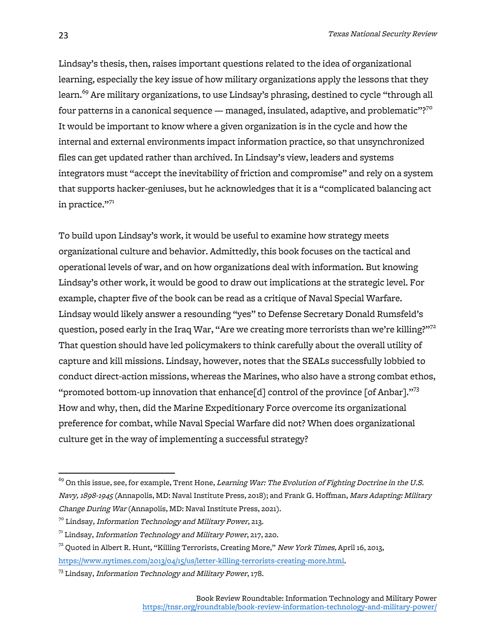Lindsay's thesis, then, raises important questions related to the idea of organizational learning, especially the key issue of how military organizations apply the lessons that they learn. <sup>69</sup> Are military organizations, to use Lindsay's phrasing, destined to cycle "through all four patterns in a canonical sequence — managed, insulated, adaptive, and problematic"? $^{70}$ It would be important to know where a given organization is in the cycle and how the internal and external environments impact information practice, so that unsynchronized files can get updated rather than archived. In Lindsay's view, leaders and systems integrators must "accept the inevitability of friction and compromise" and rely on a system that supports hacker-geniuses, but he acknowledges that it is a "complicated balancing act in practice."71

To build upon Lindsay's work, it would be useful to examine how strategy meets organizational culture and behavior. Admittedly, this book focuses on the tactical and operational levels of war, and on how organizations deal with information. But knowing Lindsay's other work, it would be good to draw out implications at the strategic level. For example, chapter five of the book can be read as a critique of Naval Special Warfare. Lindsay would likely answer a resounding "yes" to Defense Secretary Donald Rumsfeld's question, posed early in the Iraq War, "Are we creating more terrorists than we're killing?"<sup>72</sup> That question should have led policymakers to think carefully about the overall utility of capture and kill missions. Lindsay, however, notes that the SEALs successfully lobbied to conduct direct-action missions, whereas the Marines, who also have a strong combat ethos, "promoted bottom-up innovation that enhance [d] control of the province [of Anbar]."<sup>73</sup> How and why, then, did the Marine Expeditionary Force overcome its organizational preference for combat, while Naval Special Warfare did not? When does organizational culture get in the way of implementing a successful strategy?

 $^{69}$  On this issue, see, for example, Trent Hone, *Learning War: The Evolution of Fighting Doctrine in the U.S.* Navy, 1898-1945 (Annapolis, MD: Naval Institute Press, 2018); and Frank G. Hoffman, Mars Adapting: Military Change During War (Annapolis, MD: Naval Institute Press, 2021).

 $^{70}$  Lindsay, Information Technology and Military Power, 213.

 $71$  Lindsay, Information Technology and Military Power, 217, 220.

 $72$  Quoted in Albert R. Hunt, "Killing Terrorists, Creating More," New York Times, April 16, 2013, https://www.nytimes.com/2013/04/15/us/letter-killing-terrorists-creating-more.html.

<sup>&</sup>lt;sup>73</sup> Lindsay, Information Technology and Military Power, 178.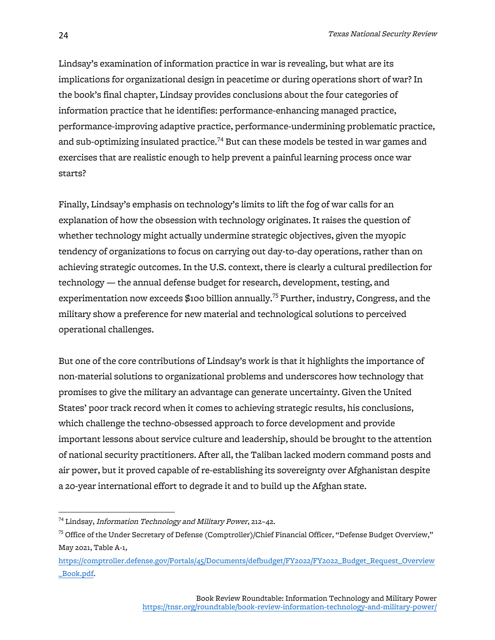Lindsay's examination of information practice in war is revealing, but what are its implications for organizational design in peacetime or during operations short of war? In the book's final chapter, Lindsay provides conclusions about the four categories of information practice that he identifies: performance-enhancing managed practice, performance-improving adaptive practice, performance-undermining problematic practice, and sub-optimizing insulated practice.<sup>74</sup> But can these models be tested in war games and exercises that are realistic enough to help prevent a painful learning process once war starts?

Finally, Lindsay's emphasis on technology's limits to lift the fog of war calls for an explanation of how the obsession with technology originates. It raises the question of whether technology might actually undermine strategic objectives, given the myopic tendency of organizations to focus on carrying out day-to-day operations, rather than on achieving strategic outcomes. In the U.S. context, there is clearly a cultural predilection for technology — the annual defense budget for research, development, testing, and experimentation now exceeds  $$100$  billion annually.<sup>75</sup> Further, industry, Congress, and the military show a preference for new material and technological solutions to perceived operational challenges.

But one of the core contributions of Lindsay's work is that it highlights the importance of non-material solutions to organizational problems and underscores how technology that promises to give the military an advantage can generate uncertainty. Given the United States' poor track record when it comes to achieving strategic results, his conclusions, which challenge the techno-obsessed approach to force development and provide important lessons about service culture and leadership, should be brought to the attention of national security practitioners. After all, the Taliban lacked modern command posts and air power, but it proved capable of re-establishing its sovereignty over Afghanistan despite a 20-year international effort to degrade it and to build up the Afghan state.

 $^{74}$  Lindsay, Information Technology and Military Power, 212-42.

 $75$  Office of the Under Secretary of Defense (Comptroller)/Chief Financial Officer, "Defense Budget Overview," May 2021, Table A-1,

https://comptroller.defense.gov/Portals/45/Documents/defbudget/FY2022/FY2022\_Budget\_Request\_Overview \_Book.pdf.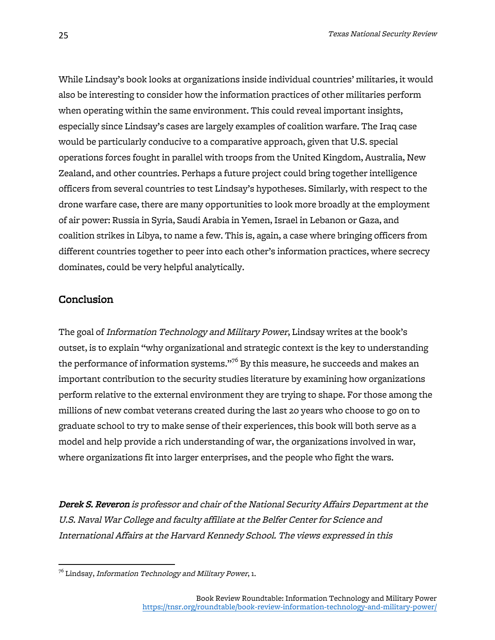While Lindsay's book looks at organizations inside individual countries' militaries, it would also be interesting to consider how the information practices of other militaries perform when operating within the same environment. This could reveal important insights, especially since Lindsay's cases are largely examples of coalition warfare. The Iraq case would be particularly conducive to a comparative approach, given that U.S. special operations forces fought in parallel with troops from the United Kingdom, Australia, New Zealand, and other countries. Perhaps a future project could bring together intelligence officers from several countries to test Lindsay's hypotheses. Similarly, with respect to the drone warfare case, there are many opportunities to look more broadly at the employment of air power: Russia in Syria, Saudi Arabia in Yemen, Israel in Lebanon or Gaza, and coalition strikes in Libya, to name a few. This is, again, a case where bringing officers from different countries together to peer into each other's information practices, where secrecy dominates, could be very helpful analytically.

#### Conclusion

The goal of Information Technology and Military Power, Lindsay writes at the book's outset, is to explain "why organizational and strategic context is the key to understanding the performance of information systems." $^{76}$  By this measure, he succeeds and makes an important contribution to the security studies literature by examining how organizations perform relative to the external environment they are trying to shape. For those among the millions of new combat veterans created during the last 20 years who choose to go on to graduate school to try to make sense of their experiences, this book will both serve as a model and help provide a rich understanding of war, the organizations involved in war, where organizations fit into larger enterprises, and the people who fight the wars.

Derek S. Reveron is professor and chair of the National Security Affairs Department at the U.S. Naval War College and faculty affiliate at the Belfer Center for Science and International Affairs at the Harvard Kennedy School. The views expressed in this

 $^{76}$  Lindsay, Information Technology and Military Power, 1.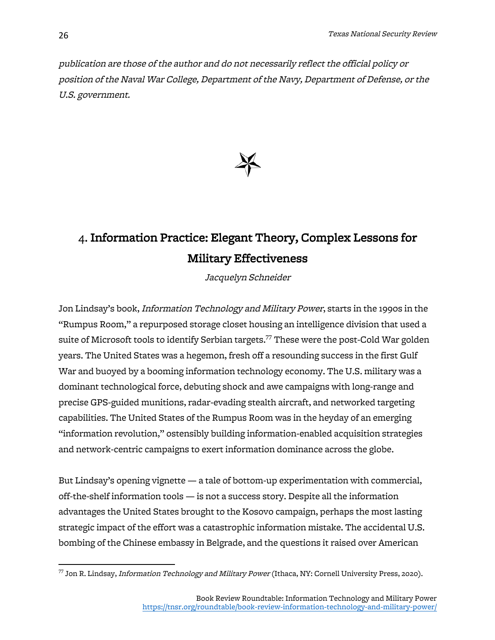publication are those of the author and do not necessarily reflect the official policy or position of the Naval War College, Department of the Navy, Department of Defense, or the U.S. government.



### 4. Information Practice: Elegant Theory, Complex Lessons for Military Effectiveness

Jacquelyn Schneider

Jon Lindsay's book, Information Technology and Military Power, starts in the 1990s in the "Rumpus Room," a repurposed storage closet housing an intelligence division that used a suite of Microsoft tools to identify Serbian targets. $^{77}$  These were the post-Cold War golden years. The United States was a hegemon, fresh off a resounding success in the first Gulf War and buoyed by a booming information technology economy. The U.S. military was a dominant technological force, debuting shock and awe campaigns with long-range and precise GPS-guided munitions, radar-evading stealth aircraft, and networked targeting capabilities. The United States of the Rumpus Room was in the heyday of an emerging "information revolution," ostensibly building information-enabled acquisition strategies and network-centric campaigns to exert information dominance across the globe.

But Lindsay's opening vignette — a tale of bottom-up experimentation with commercial, off-the-shelf information tools — is not a success story. Despite all the information advantages the United States brought to the Kosovo campaign, perhaps the most lasting strategic impact of the effort was a catastrophic information mistake. The accidental U.S. bombing of the Chinese embassy in Belgrade, and the questions it raised over American

 $^{77}$  Jon R. Lindsay, *Information Technology and Military Power* (Ithaca, NY: Cornell University Press, 2020).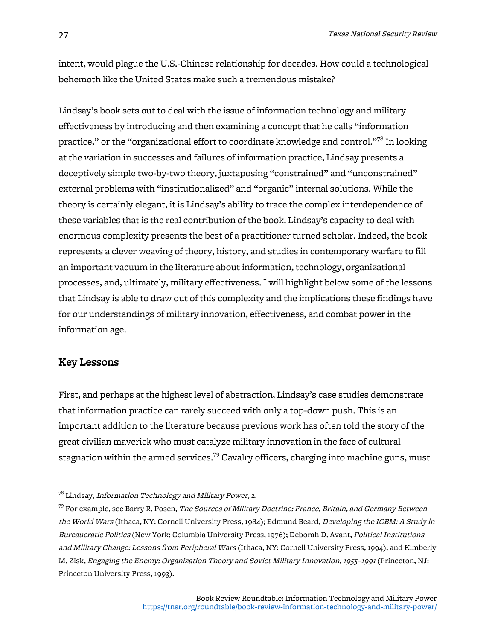intent, would plague the U.S.-Chinese relationship for decades. How could a technological behemoth like the United States make such a tremendous mistake?

Lindsay's book sets out to deal with the issue of information technology and military effectiveness by introducing and then examining a concept that he calls "information practice," or the "organizational effort to coordinate knowledge and control."<sup>78</sup> In looking at the variation in successes and failures of information practice, Lindsay presents a deceptively simple two-by-two theory, juxtaposing "constrained" and "unconstrained" external problems with "institutionalized" and "organic" internal solutions. While the theory is certainly elegant, it is Lindsay's ability to trace the complex interdependence of these variables that is the real contribution of the book. Lindsay's capacity to deal with enormous complexity presents the best of a practitioner turned scholar. Indeed, the book represents a clever weaving of theory, history, and studies in contemporary warfare to fill an important vacuum in the literature about information, technology, organizational processes, and, ultimately, military effectiveness. I will highlight below some of the lessons that Lindsay is able to draw out of this complexity and the implications these findings have for our understandings of military innovation, effectiveness, and combat power in the information age.

#### Key Lessons

First, and perhaps at the highest level of abstraction, Lindsay's case studies demonstrate that information practice can rarely succeed with only a top-down push. This is an important addition to the literature because previous work has often told the story of the great civilian maverick who must catalyze military innovation in the face of cultural stagnation within the armed services.<sup>79</sup> Cavalry officers, charging into machine guns, must

 $^{78}$  Lindsay, Information Technology and Military Power, 2.

 $^{79}$  For example, see Barry R. Posen, *The Sources of Military Doctrine: France, Britain, and Germany Between* the World Wars (Ithaca, NY: Cornell University Press, 1984); Edmund Beard, Developing the ICBM: A Study in Bureaucratic Politics (New York: Columbia University Press, 1976); Deborah D. Avant, Political Institutions and Military Change: Lessons from Peripheral Wars (Ithaca, NY: Cornell University Press, 1994); and Kimberly M. Zisk, Engaging the Enemy: Organization Theory and Soviet Military Innovation, 1955–1991 (Princeton, NJ: Princeton University Press, 1993).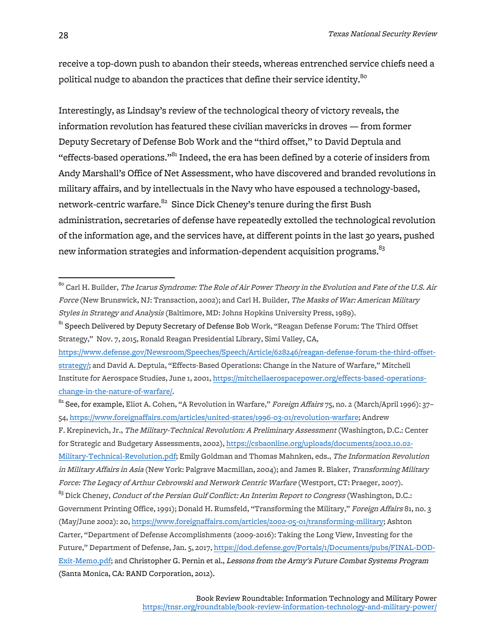receive a top-down push to abandon their steeds, whereas entrenched service chiefs need a political nudge to abandon the practices that define their service identity.<sup>80</sup>

Interestingly, as Lindsay's review of the technological theory of victory reveals, the information revolution has featured these civilian mavericks in droves — from former Deputy Secretary of Defense Bob Work and the "third offset," to David Deptula and "effects-based operations."<sup>81</sup> Indeed, the era has been defined by a coterie of insiders from Andy Marshall's Office of Net Assessment, who have discovered and branded revolutions in military affairs, and by intellectuals in the Navy who have espoused a technology-based, network-centric warfare.<sup>82</sup> Since Dick Cheney's tenure during the first Bush administration, secretaries of defense have repeatedly extolled the technological revolution of the information age, and the services have, at different points in the last 30 years, pushed new information strategies and information-dependent acquisition programs.<sup>83</sup>

<sup>81</sup> Speech Delivered by Deputy Secretary of Defense Bob Work, "Reagan Defense Forum: The Third Offset Strategy," Nov. 7, 2015, Ronald Reagan Presidential Library, Simi Valley, CA,

https://www.defense.gov/Newsroom/Speeches/Speech/Article/628246/reagan-defense-forum-the-third-offsetstrategy/; and David A. Deptula, "Effects-Based Operations: Change in the Nature of Warfare," Mitchell Institute for Aerospace Studies, June 1, 2001, https://mitchellaerospacepower.org/effects-based-operationschange-in-the-nature-of-warfare/.

F. Krepinevich, Jr., The Military-Technical Revolution: A Preliminary Assessment (Washington, D.C.: Center for Strategic and Budgetary Assessments, 2002), https://csbaonline.org/uploads/documents/2002.10.02- Military-Technical-Revolution.pdf; Emily Goldman and Thomas Mahnken, eds., The Information Revolution in Military Affairs in Asia (New York: Palgrave Macmillan, 2004); and James R. Blaker, Transforming Military

<sup>&</sup>lt;sup>80</sup> Carl H. Builder, *The Icarus Syndrome: The Role of Air Power Theory in the Evolution and Fate of the U.S. Air* Force (New Brunswick, NJ: Transaction, 2002); and Carl H. Builder, The Masks of War: American Military Styles in Strategy and Analysis (Baltimore, MD: Johns Hopkins University Press, 1989).

 $82$  See, for example, Eliot A. Cohen, "A Revolution in Warfare," Foreign Affairs 75, no. 2 (March/April 1996): 37-54, https://www.foreignaffairs.com/articles/united-states/1996-03-01/revolution-warfare; Andrew

Force: The Legacy of Arthur Cebrowski and Network Centric Warfare (Westport, CT: Praeger, 2007).

<sup>&</sup>lt;sup>83</sup> Dick Cheney, *Conduct of the Persian Gulf Conflict: An Interim Report to Congress* (Washington, D.C.: Government Printing Office, 1991); Donald H. Rumsfeld, "Transforming the Military," Foreign Affairs 81, no. 3 (May/June 2002): 20, https://www.foreignaffairs.com/articles/2002-05-01/transforming-military; Ashton Carter, "Department of Defense Accomplishments (2009-2016): Taking the Long View, Investing for the Future," Department of Defense, Jan. 5, 2017, https://dod.defense.gov/Portals/1/Documents/pubs/FINAL-DOD-Exit-Memo.pdf; and Christopher G. Pernin et al., Lessons from the Army's Future Combat Systems Program (Santa Monica, CA: RAND Corporation, 2012).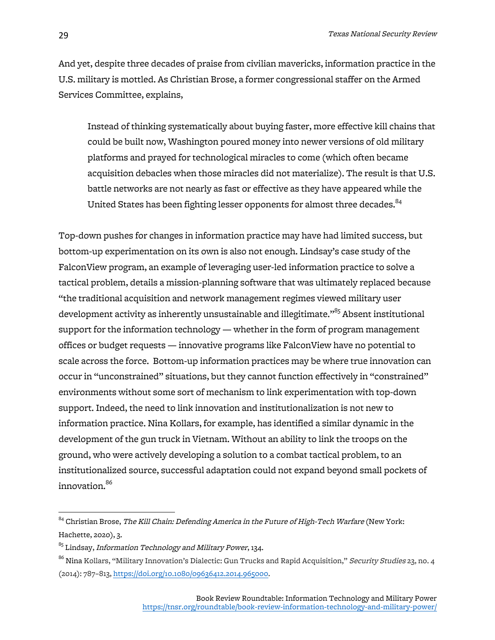And yet, despite three decades of praise from civilian mavericks, information practice in the U.S. military is mottled. As Christian Brose, a former congressional staffer on the Armed Services Committee, explains,

Instead of thinking systematically about buying faster, more effective kill chains that could be built now, Washington poured money into newer versions of old military platforms and prayed for technological miracles to come (which often became acquisition debacles when those miracles did not materialize). The result is that U.S. battle networks are not nearly as fast or effective as they have appeared while the United States has been fighting lesser opponents for almost three decades.<sup>84</sup>

Top-down pushes for changes in information practice may have had limited success, but bottom-up experimentation on its own is also not enough. Lindsay's case study of the FalconView program, an example of leveraging user-led information practice to solve a tactical problem, details a mission-planning software that was ultimately replaced because "the traditional acquisition and network management regimes viewed military user development activity as inherently unsustainable and illegitimate."<sup>85</sup> Absent institutional support for the information technology — whether in the form of program management offices or budget requests — innovative programs like FalconView have no potential to scale across the force. Bottom-up information practices may be where true innovation can occur in "unconstrained" situations, but they cannot function effectively in "constrained" environments without some sort of mechanism to link experimentation with top-down support. Indeed, the need to link innovation and institutionalization is not new to information practice. Nina Kollars, for example, has identified a similar dynamic in the development of the gun truck in Vietnam. Without an ability to link the troops on the ground, who were actively developing a solution to a combat tactical problem, to an institutionalized source, successful adaptation could not expand beyond small pockets of innovation. 86

 $84$  Christian Brose, The Kill Chain: Defending America in the Future of High-Tech Warfare (New York: Hachette, 2020), 3.

 $85$  Lindsay, *Information Technology and Military Power*, 134.

<sup>&</sup>lt;sup>86</sup> Nina Kollars, "Military Innovation's Dialectic: Gun Trucks and Rapid Acquisition," *Security Studies* 23, no. 4 (2014): 787–813, https://doi.org/10.1080/09636412.2014.965000.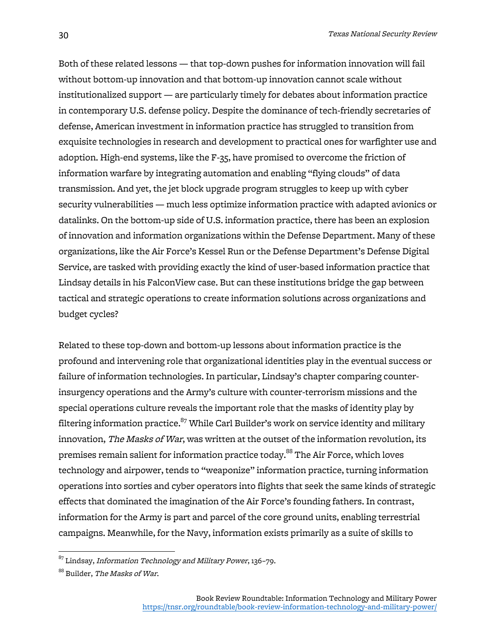Both of these related lessons — that top-down pushes for information innovation will fail without bottom-up innovation and that bottom-up innovation cannot scale without institutionalized support — are particularly timely for debates about information practice in contemporary U.S. defense policy. Despite the dominance of tech-friendly secretaries of defense, American investment in information practice has struggled to transition from exquisite technologies in research and development to practical ones for warfighter use and adoption. High-end systems, like the F-35, have promised to overcome the friction of information warfare by integrating automation and enabling "flying clouds" of data transmission. And yet, the jet block upgrade program struggles to keep up with cyber security vulnerabilities — much less optimize information practice with adapted avionics or datalinks. On the bottom-up side of U.S. information practice, there has been an explosion of innovation and information organizations within the Defense Department. Many of these organizations, like the Air Force's Kessel Run or the Defense Department's Defense Digital Service, are tasked with providing exactly the kind of user-based information practice that Lindsay details in his FalconView case. But can these institutions bridge the gap between tactical and strategic operations to create information solutions across organizations and budget cycles?

Related to these top-down and bottom-up lessons about information practice is the profound and intervening role that organizational identities play in the eventual success or failure of information technologies. In particular, Lindsay's chapter comparing counterinsurgency operations and the Army's culture with counter-terrorism missions and the special operations culture reveals the important role that the masks of identity play by filtering information practice. $87$  While Carl Builder's work on service identity and military innovation, The Masks of War, was written at the outset of the information revolution, its premises remain salient for information practice today. $^{88}$  The Air Force, which loves technology and airpower, tends to "weaponize" information practice, turning information operations into sorties and cyber operators into flights that seek the same kinds of strategic effects that dominated the imagination of the Air Force's founding fathers. In contrast, information for the Army is part and parcel of the core ground units, enabling terrestrial campaigns. Meanwhile, for the Navy, information exists primarily as a suite of skills to

 $87$  Lindsay, Information Technology and Military Power, 136-79.

<sup>88</sup> Builder, The Masks of War.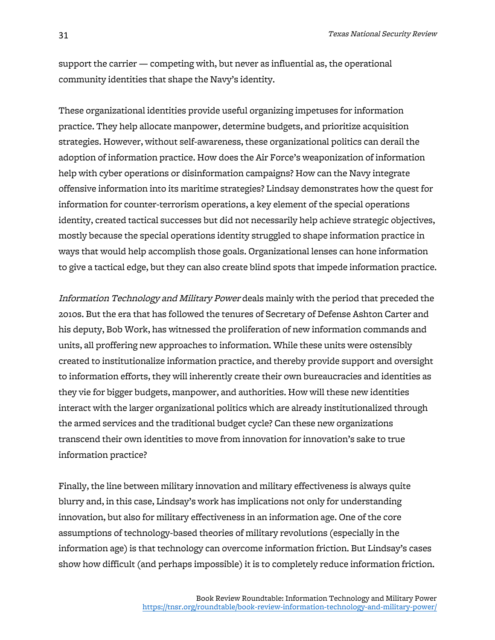support the carrier — competing with, but never as influential as, the operational community identities that shape the Navy's identity.

These organizational identities provide useful organizing impetuses for information practice. They help allocate manpower, determine budgets, and prioritize acquisition strategies. However, without self-awareness, these organizational politics can derail the adoption of information practice. How does the Air Force's weaponization of information help with cyber operations or disinformation campaigns? How can the Navy integrate offensive information into its maritime strategies? Lindsay demonstrates how the quest for information for counter-terrorism operations, a key element of the special operations identity, created tactical successes but did not necessarily help achieve strategic objectives, mostly because the special operations identity struggled to shape information practice in ways that would help accomplish those goals. Organizational lenses can hone information to give a tactical edge, but they can also create blind spots that impede information practice.

Information Technology and Military Power deals mainly with the period that preceded the 2010s. But the era that has followed the tenures of Secretary of Defense Ashton Carter and his deputy, Bob Work, has witnessed the proliferation of new information commands and units, all proffering new approaches to information. While these units were ostensibly created to institutionalize information practice, and thereby provide support and oversight to information efforts, they will inherently create their own bureaucracies and identities as they vie for bigger budgets, manpower, and authorities. How will these new identities interact with the larger organizational politics which are already institutionalized through the armed services and the traditional budget cycle? Can these new organizations transcend their own identities to move from innovation for innovation's sake to true information practice?

Finally, the line between military innovation and military effectiveness is always quite blurry and, in this case, Lindsay's work has implications not only for understanding innovation, but also for military effectiveness in an information age. One of the core assumptions of technology-based theories of military revolutions (especially in the information age) is that technology can overcome information friction. But Lindsay's cases show how difficult (and perhaps impossible) it is to completely reduce information friction.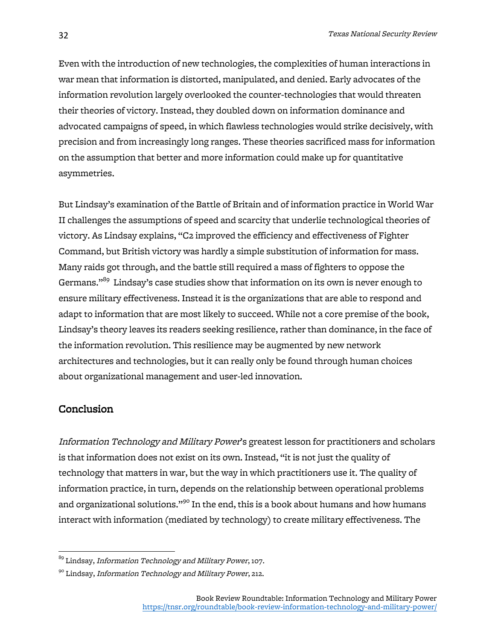Even with the introduction of new technologies, the complexities of human interactions in war mean that information is distorted, manipulated, and denied. Early advocates of the information revolution largely overlooked the counter-technologies that would threaten their theories of victory. Instead, they doubled down on information dominance and advocated campaigns of speed, in which flawless technologies would strike decisively, with precision and from increasingly long ranges. These theories sacrificed mass for information on the assumption that better and more information could make up for quantitative asymmetries.

But Lindsay's examination of the Battle of Britain and of information practice in World War II challenges the assumptions of speed and scarcity that underlie technological theories of victory. As Lindsay explains, "C2 improved the efficiency and effectiveness of Fighter Command, but British victory was hardly a simple substitution of information for mass. Many raids got through, and the battle still required a mass of fighters to oppose the Germans."<sup>89</sup> Lindsay's case studies show that information on its own is never enough to ensure military effectiveness. Instead it is the organizations that are able to respond and adapt to information that are most likely to succeed. While not a core premise of the book, Lindsay's theory leaves its readers seeking resilience, rather than dominance, in the face of the information revolution. This resilience may be augmented by new network architectures and technologies, but it can really only be found through human choices about organizational management and user-led innovation.

#### **Conclusion**

Information Technology and Military Power's greatest lesson for practitioners and scholars is that information does not exist on its own. Instead, "it is not just the quality of technology that matters in war, but the way in which practitioners use it. The quality of information practice, in turn, depends on the relationship between operational problems and organizational solutions."<sup>90</sup> In the end, this is a book about humans and how humans interact with information (mediated by technology) to create military effectiveness. The

 $^{89}$  Lindsay, *Information Technology and Military Power*, 107.

<sup>&</sup>lt;sup>90</sup> Lindsay, Information Technology and Military Power, 212.